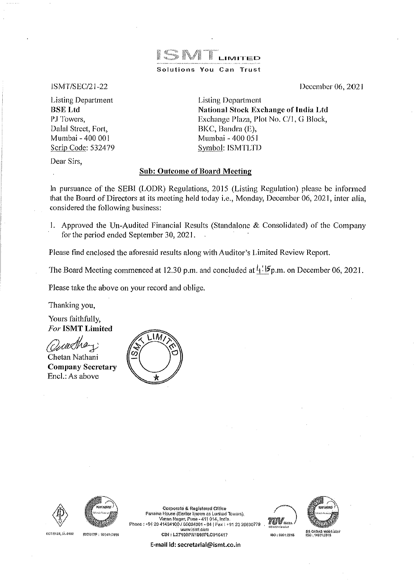

Solutions You Can Trust

ISMT/SEC/21-22

Listing Department BSELtd PJ Towers, Dalal Street, Fort, Mumbai - 400 001 Scrip Code: 532479 December 06, 2021

Listing Department National Stock Exchange of India Ltd Exchange Plaza, Plot No. C/1, G Block, BKC, Bandra (E), Mumbai - 400 051 Symbol: ISMTLTD

Dear Sirs,

# Sub: Outcome of Board Meeting

In pursuance of the SEBI (LODR) Regulations, 2015 (Listing Regulation) please be informed that the Board of Directors at its meeting held today i.e., Monday, December 06, 2021, inter alia, considered the following business:

I. Approved the Un-Audited Financial Results (Standalone & Consolidated) of the Company for the period ended September 30, 2021.

Please find enclosed the aforesaid results along with Auditor's Limited Review Report.

The Board Meeting commenced at 12.30 p.m. and concluded at  $\frac{1}{4}$ :  $\mathfrak{F}_{p,m}$ . on December 06, 2021.

Please take the above on your record and oblige.

Thanking you,

Yours faithfully, *For* ISMT Limited

Chetan Nathani Company Secretary Encl.: As above







EC 1-0123, 51-0102 IBOAATF: 16049;2010

Panama House (Earlior known as Lunkad Towors). Corporate & Registered Office Viman Nager, Pune - 411 014, India.<br>111211001606016014 | 011 Enix : 02.08.00000730 | 012 10010 Phone: +91 20 41434100 / 66024\$01 - 04 | Fax: +91 20 26630779 \IJ\\'W)smtcom C[N: l.27109.PN1999PLC01G4i7

E-mail id: secretarial@ismt.co.in



150 : 5001:2015

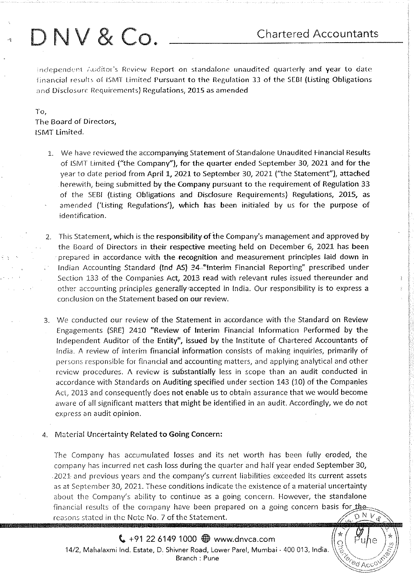# DNV & Co. Chartered Accountants

Independent Auditor's Review Report on standalone unaudited quarterly and year to date financial results of ISMT Limited Pursuant to the Regulation 33 of the SEBI (Listing Obligations and Disclosure Requirements) Regulations, 2015 as amended

To, The Board of Directors, ISMT Limited.

- 1. We have reviewed the accompanying Statement of Standalone Unaudited f-inancial Results of ISMT Limited ("the Company"), for the quarter ended September 30, 2021 and for the year to date period from April 1, 2021 to September 30, 2021 ("the Statement"), attached herewith, being submitted by the Company pursuant to the requirement of Regulation 33 of the SEBI {Listing Obligations and Disclosure Requirements] Regulations, 2015, as amended {'Listing Regulations'], which has been initialed by us for the purpose of identification.
- 2. This Statement, which is the responsibility of the Company's management and approved by the Goard of Directors in their respective meeting held on December 6, 2021 has been prepared in accordance with the recognition and measurement principles laid down in Indian Accounting Standard (lnd AS) 34 "Interim Financial Reporting" prescribed under Section 133 of the Companies Act, 2013 read with relevant rules issued thereunder and other accounting principles generally•accepted in India. Our responsibility is to express a conclusion on the Statement based on our review.
- 3. We conducted our review of the Statement in accordance with the Standard on Review Engagements (SRE) 2410 "Review of Interim Financial Information Performed by the Independent Auditor of the Entity", issued by the Institute of Chartered Accountants of India. A review of interim financial information consists of making inquiries, primarily of persons responsible for financial and accounting matters, and applying analytical and other review procedures. *1\* review is substantially less in scope than an audit conducted in accordance with Standards on Auditing specified under section 143 (10) of the Companies Act, 2013 and consequently does not enable us to obtain assurance that we would become aware of all significant matters that might be identified in an audit. Accordingly, we do not express an audit opinion.
- Material Uncertainty Related to Going Concern:

The Company has accumulated losses and its net worth has been fully eroded, the company has incurred net cash loss during the quarter and half year ended September 30, 2021 and previous years and the company's current liabilities exceeded its current assets as at September 30, 2021. These conditions indicate the existence of a material uncertainty about the Company's ability to continue as a going concern. However, the standalone financial results of the company have been prepared on a going concern basis for the reasons stated in the Note No. 7 of the Statement.  $D N V_d$ 

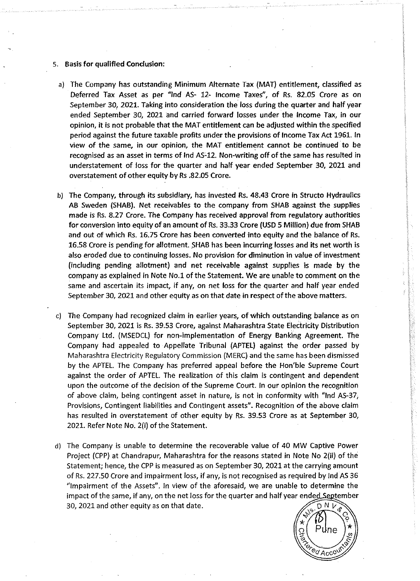- s. Basis for qualified Conclusion:
	- a) The Company has outstanding Minimum Alternate Tax (MAT) entitlement, classified as Deferred Tax Asset as per "lnd AS- 12- Income Taxes", of Rs. 82.05 Crore as on September 30, 2021. Taking into consideration the loss during the quarter and half year ended September 30, 2021 and carried forward losses under the Income Tax, in our opinion, it is not probable that the MAT entitlement can be adjusted within the specified period against the future taxable profits under the provisions of Income Tax Act 1961. In view of the same, in our opinion, the MAT entitlement cannot be continued to be recognised as an asset in terms of lnd AS-12. Non-writing off of the same has resulted in understatement of loss for the quarter and half year ended September 30, 2021 and overstatement of other equity by Rs .82.05 Crore.
	- b) The Company, through its subsidiary, has invested Rs. 48.43 Crore in Structo Hydraulics AB Sweden (SHAB). Net receivables to the company from SHAB against the supplies made is Rs. 8.27 Crore. The Company has received approval from regulatory authorities for conversion into equity of an amount of Rs. 33.33 Crore (USD 5 Million) due from SHAB and out of which Rs. 16.75 Crore has been converted into equity and the balance of Rs. 16.58 Crore is pending for allotment. SHAB has been incurring losses and its net worth is also eroded due to continuing losses. No provision for diminution in value of investment (including pending allotment) and net receivable against supplies is made by the company as explained in Note No.1 of the Statement. We are unable to comment on the same and ascertain its impact, if any, on net loss for the quarter and half year ended September 30, 2021 and other equity as on that date in respect of the above matters.
- c) The Company had recognized claim in earlier years, of which outstanding balance as on September 30, 2021 is Rs. 39.53 Crore, against Maharashtra State Electricity Distribution Company ltd. {MSEDCL) for non-implementation of Energy Banking Agreement. The Company had appealed to Appellate Tribunal (APTEL) against the order passed by Maharashtra Electricity Regulatory Commission {MERC) and the same has been dismissed by the APTEL. The Company has preferred appeal before the Hon'ble Supreme Court against the order of APTEL. The realization of this claim is contingent and dependent upon the outcome of the decision of the Supreme Court. In our opinion the recognition of above claim, being contingent asset in nature, is not in conformity with "lnd AS-37, Provisions, Contingent liabilities and Contingent assets". Recognition of the above claim has resulted in overstatement of other equity by Rs. 39.53 Crore as at September 30, 2021. Refer Note No. 2{i) of the Statement.
- d) The Company is unable to determine the recoverable value of 40 MW Captive Power Project {CPP) at Chandrapur, Maharashtra for the reasons stated in Note No 2{ii) of the Statement; hence, the CPP is measured as on September 30, 2021 at the carrying amount of Rs. 227.50 Crore and impairment loss, if any, is not recognised as required by lnd AS 36 "Impairment of the Assets". In view of the aforesaid, we are unable to determine the impact of the same, if any, on the net loss for the quarter and half year ended September<br>30, 2021 and other equity as on that date. 30, 2021 and other equity as on that date.  $\sqrt{2\pi}$   $\sqrt{2\pi}$

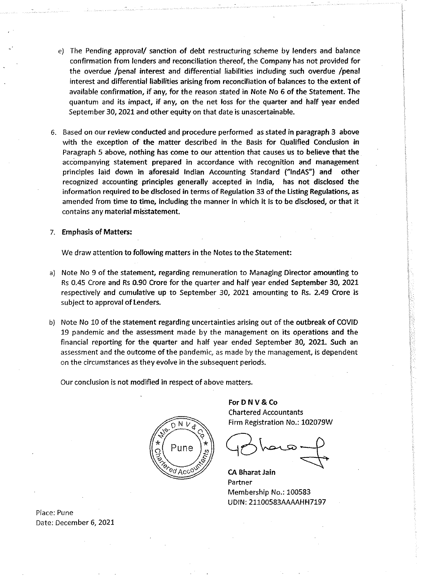- e) The Pending approval/ sanction of debt restructuring scheme by lenders and balance confirmation from lenders and reconciliation thereof, the Company has not provided for the overdue /penal interest and differential liabilities including such overdue /penal interest and differential liabilities arising from reconciliation of balances to the extent of available confirmation, if any, for the reason stated in Note No 6 of the Statement. The quantum and its impact, if any, on the net loss for the quarter and half year ended September 30, 2021 and other equity on that date is unascertainable.
- 6. Based on our review conducted and procedure performed as stated in paragraph 3 above with the exception of the matter described in the Basis for Qualified Conclusion in Paragraph 5 above, nothing has come to our attention that causes us to believe that the accompanying statement prepared in accordance with recognition and management principles laid down in aforesaid Indian Accounting Standard ("lndAS") and other recognized accounting principles generally accepted in India, has not disclosed the information required to be disclosed in terms of Regulation 33 of the listing Regulations, as amended from time to time, including the manner in which it is to be disclosed, or that it contains any material misstatement.

## 7. Emphasis of Matters:

We draw attention to following matters in the Notes to the Statement:

- a) Note No 9 of the statement, regarding remuneration to Managing Director amounting to Rs 0.45 Crore and Rs 0.90 Crore for the quarter and half year ended September 30, 2021 respectively and cumulative up to September 30, 2021 amounting to Rs. 2.49 Crore is subject to approval of tenders.
- b) Note No 10 of the statement regarding uncertainties arising out of the outbreak of COVID 19 pandemic and the assessment made by the management on its operations and the financial reporting for the quarter and half year ended September 30, 2021. Such an assessment and the outcome of the pandemic, as made by the management, is dependent on the circumstances as they evolve in the subsequent periods.

Our conclusion is not modified in respect of above matters.



ForD NV & Co Chartered Accountants Firm Registration No.: 102079W

 $40$  have  $+$ 

CA Bharat Jain Partner Membership No.: 100583 UDIN: 21100583AAAAHH7197

Place: Pune Date: December 6, 2021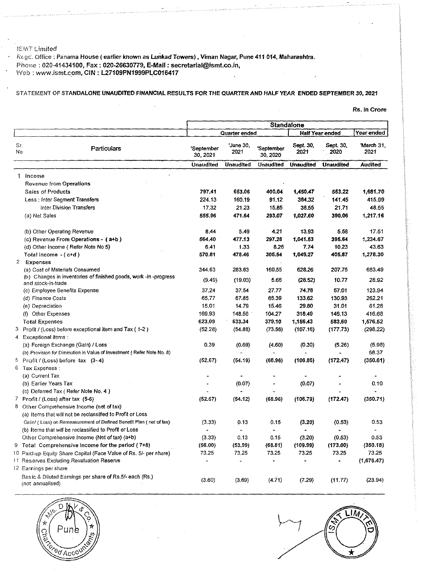## l~:!i'iT Umited

F<cgc:. Office: Panama House (earlier known as lunkad Towers), Viman Nagar, Pune 411 014, Maharashtra. Phone : 020-41434100, Fax: 020-26630779, E-Mail: secretarial@ismt.co.in, Web : www.ismt.com, CIN: L27109PN1999PLC016417  $\alpha$  $\mathbb{R}^2$  $\ddot{\phantom{a}}$ 

 $\ddot{\phantom{a}}$ 

# STATEMENT OF STANDALONE UNAUDITED FINANCIAL RESULTS FOR THE QUARTER AND HALF YEAR ENDED SEPTEMBER 30, 2021

Rs. in Crore

|              |                                                                                                        | Standalone             |                   |                        |                  |                        |                    |
|--------------|--------------------------------------------------------------------------------------------------------|------------------------|-------------------|------------------------|------------------|------------------------|--------------------|
|              |                                                                                                        |                        | Quarter ended     |                        |                  | <b>Half Year ended</b> | Year ended         |
| Sr.<br>No    | Particulars                                                                                            | 'September<br>30, 2021 | 'June 30,<br>2021 | 'September<br>30, 2020 | Sept 30,<br>2021 | Sept. 30,<br>2020      | 'March 31,<br>2021 |
|              |                                                                                                        | <b>Unaudited</b>       | <b>Unaudited</b>  | <b>Unaudited</b>       | <b>Unaudited</b> | <b>Unaudited</b>       | <b>Audited</b>     |
|              | 1 Income                                                                                               |                        |                   |                        |                  |                        |                    |
|              | <b>Revenue from Operations</b>                                                                         |                        |                   |                        |                  |                        |                    |
|              | <b>Sales of Products</b>                                                                               | 797.41                 | 653.06            | 400.04                 | 1,450.47         | 553.22                 | 1,681.70           |
|              | Less : Inter Segment Transfers                                                                         | 224.13                 | 160.19            | 91.12                  | 384.32           | 141 45                 | 415.99             |
|              | Inter Division Transfers                                                                               | 17,32                  | 21.23             | 15.85                  | 38.55            | 21.71                  | 48.55              |
|              | (a) Net Sales                                                                                          | 555.96                 | 471.64            | 293.07                 | 1,027.60         | 390.06                 | 1,217.16           |
|              | (b) Other Operating Revenue                                                                            | 8,44                   | 5.49              | 4.21                   | 13.93            | 5.58                   | 17.51              |
|              | (c) Revenue From Operations - (a+b)                                                                    | 564.40                 | 477.13            | 297.28                 | 1,041.53         | 395.64                 | 1,234.67           |
|              | (d) Other Income (Refer Note No 5)                                                                     | 6.41                   | 1.33              | 8.26                   | 7.74             | 10.23                  | 43.63              |
|              | Total Income - (c+d)                                                                                   | 570.81                 | 478.46            | 305.54                 | 1,049.27         | 405.87                 | 1,278.30           |
| $\mathbf{2}$ | Expenses                                                                                               |                        |                   |                        |                  |                        |                    |
|              | (a) Cost of Materials Consumed                                                                         | 344.63                 | 283.63            | 160.55                 | 628.26           | 207,75                 | 683.49             |
|              | (b) Changes in inventories of finished goods, work -in -progress<br>and stock-in-trade                 | (9.49)                 | (19.03)           | 5.66                   | (28.52)          | 10.77                  | 28.92              |
|              | (c) Employee Benefits Expense                                                                          | 37,24                  | 37.54             | 27.77                  | 74.78            | 57.01                  | 123.94             |
|              | (d) Finance Costs                                                                                      | 65,77                  | 67.85             | 65.39                  | 133.62           | 130.93                 | 262.21             |
|              | (e) Depreciation                                                                                       | 15,01                  | 14.79             | 15.46                  | 29.80            | 31.01                  | 61.28              |
|              | (f) Other Expenses                                                                                     | 169.93                 | 148.56            | 104.27                 | 318.49           | 146,13                 | 416.68             |
|              | <b>Total Expenses</b>                                                                                  | 623,09                 | 533.34            | 379.10                 | 1,156.43         | 583.60                 | 1,576.52           |
|              | 3 Profit / (Loss) before exceptional item and Tax (1-2)                                                | (52.28)                | (54.88)           | (73.56)                | (107.16)         | (177.73)               | (298.22)           |
|              | 4 Exceptional items :                                                                                  |                        |                   |                        |                  |                        |                    |
|              | (a) Foreign Exchange (Gain) / Loss                                                                     | 0.39                   | (0.69)            | (4.60)                 | (0.30)           | (5.26)                 | (5.98)             |
|              | (b) Provision for Diminution in Value of Investment (Refer Note No. 8)                                 |                        |                   |                        |                  |                        | 58.37              |
| -5           | Profit / (Loss) before tax (3-4)                                                                       | (52, 67)               | (54.19)           | (68.96)                | (106.86)         | (172.47)               | (350.61)           |
|              | $6$ Tax Expenses :                                                                                     |                        |                   |                        |                  |                        |                    |
|              | (a) Current Tax                                                                                        |                        |                   |                        |                  |                        |                    |
|              | (b) Earlier Years Tax                                                                                  |                        | (0.07)            |                        | (0.07)           |                        | 0.10               |
|              | (c) Deferred Tax (Refer Note No. 4)                                                                    |                        |                   |                        |                  |                        |                    |
| 7            | Profit / (Loss) after tax (5-6)                                                                        | (52.67)                | (54.12)           | (68.96)                | (106.79)         | (172.47)               | (350.71)           |
| 8            | Other Comprehensive Income (net of tax)                                                                |                        |                   |                        |                  |                        |                    |
|              | (a) Items that will not be reclassified to Profit or Loss                                              |                        |                   |                        |                  |                        |                    |
|              | Gain/ ( Loss) on Remeasurement of Defined Benefit Plan ( net of tax)                                   | (3.33)                 | 0.13              | 0.15                   | (3.20)           | (0.53)                 | 0.53               |
|              | (b) Items that will be reclassified to Profit or Loss<br>Other Comprehensive Income (Net of tax) (a+b) | (3.33)                 | 0.13              | 0.15                   | (3.20)           | (0.53)                 | 0.53               |
|              | 9 Total Comprehensive Income for the period (7+8)                                                      | (56.00)                | (53.99)           | (68.81)                | (109.99)         | (173.00)               | (350.18)           |
|              | 10 Paid-up Equity Share Capital (Face Value of Rs. 5/- per share)                                      | 73.25                  | 73.25             | 73.25                  | 73.25            | 73.25                  | 73.25              |
|              | 11 Reserves Excluding Revaluation Reserve                                                              |                        |                   |                        |                  |                        | (1,676.47)         |
|              | 12 Earnings per share                                                                                  |                        |                   |                        |                  |                        |                    |
|              | Bas ic & Diluted Earnings per share of Rs.5/- each (Rs.)                                               |                        |                   |                        |                  |                        |                    |
|              | (not annualised)                                                                                       | (3.60)                 | (3.69)            | (4.71)                 | (7.29)           | (11.77)                | (23.94)            |



.IM တွ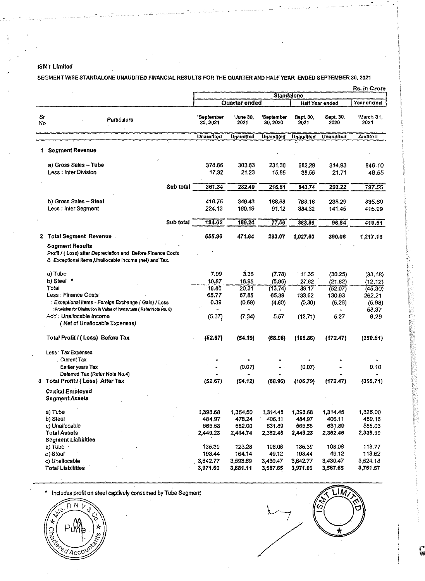# ISMT Limited

k.

## SEGMENT WISE STANDAlONE UNAUDITED FINANCIAl RESUlTS FOR THE QUARTER AND HALF YEAR ENDED SEPTEMBER 30, 2021

|          |                                                                                                                                                 |                        |                    |                        |                    |                        | Rs. in Crore       |  |
|----------|-------------------------------------------------------------------------------------------------------------------------------------------------|------------------------|--------------------|------------------------|--------------------|------------------------|--------------------|--|
|          |                                                                                                                                                 |                        |                    | <b>Standalone</b>      |                    |                        |                    |  |
|          |                                                                                                                                                 |                        | Quarter ended      |                        |                    | <b>Half Year ended</b> | Year ended         |  |
| Sr<br>No | Particulars                                                                                                                                     | 'September<br>30, 2021 | 'June 30,<br>2021  | 'September<br>30, 2020 | Sept. 30,<br>2021  | Sept. 30,<br>2020      | 'March 31,<br>2021 |  |
|          |                                                                                                                                                 | <b>Unaudited</b>       | <b>Unaudited</b>   | <b>Unaudited</b>       | <b>Unaudited</b>   | <b>Unaudited</b>       | <b>Audited</b>     |  |
| 1.       | <b>Segment Revenue</b>                                                                                                                          |                        |                    |                        |                    |                        |                    |  |
|          | a) Gross Sales - Tube<br>Less: Inter Division                                                                                                   | 378.66<br>17.32        | 303.63<br>21.23    | 231.36<br>15,85        | 682,29<br>38.55    | 314.93<br>21.71        | 846.10<br>48.55    |  |
|          | Sub total                                                                                                                                       | 361.34                 | 282.40             | 215.51                 | 643.74             | 293.22                 | 797.55             |  |
|          | b) Gross Sales - Steel<br>Less: Inter Segment                                                                                                   | 418.75<br>224.13       | 349.43<br>160.19   | 168.68<br>91.12        | 768.18<br>384.32   | 238.29<br>141.45       | 835.60<br>415.99   |  |
|          | Sub total                                                                                                                                       | 194.62                 | 189.24             | 77,56                  | 383.86             | 96.84                  | 419.61             |  |
|          | 2 Total Segment Revenue.                                                                                                                        | 555.96                 | 471.64             | 293.07                 | 1,027.60           | 390.06                 | 1,217.16           |  |
|          | <b>Segment Results</b><br>Profit / (Loss) after Depreciation and Before Finance Costs<br>& Exceptional items, Unallocable income (net) and Tax. |                        |                    |                        |                    |                        |                    |  |
|          | a) Tube                                                                                                                                         | 7.99                   | 3,36               | (7.78)                 | 11.35              | (30.25)                | (33.18)            |  |
|          | b) Steel *                                                                                                                                      | 10.87                  | 16.95              | (5.96)                 | 27.82              | (21.82)                | (12.12)            |  |
|          | Total<br><b>Less: Finance Costs</b>                                                                                                             | 18.86<br>65.77         | 20.31<br>67,85     | (13.74)<br>65.39       | 39.17<br>133.62    | (52.07)<br>130.93      | (45.30)<br>262.21  |  |
|          | : Exceptional items - Foreign Exchange (Gain) / Loss                                                                                            | 0.39                   | (0.69)             | (4.60)                 | (0.30)             | (5.26)                 | (5.98)             |  |
|          | : Provision for Diminution in Value of Investment (Refer Note No. 8)                                                                            |                        |                    |                        |                    |                        | 58.37              |  |
|          | Add : Unallocable Income<br>(Net of Unallocable Expenses)                                                                                       | (5.37)                 | (7.34)             | 5.57                   | (12.71)            | 5.27                   | 9.29               |  |
|          | Total Profit / (Loss) Before Tax                                                                                                                | (52.67)                | (54.19)            | (68.96)                | (106.86)           | (172.47)               | (350.61)           |  |
|          | Less: Tax Expenses<br>Current Tax                                                                                                               |                        |                    |                        |                    |                        |                    |  |
|          | Earlier years Tax                                                                                                                               |                        | (0.07)             |                        | (0.07)             |                        | 0,10               |  |
|          | Deferred Tax (Refer Note No.4)<br>3 Total Profit / (Loss) After Tax                                                                             | (52.67)                | (54.12)            | (68.96)                | (106.79)           | (172.47)               | (350.71)           |  |
|          | <b>Capital Employed</b><br><b>Segment Assets</b>                                                                                                |                        |                    |                        |                    |                        |                    |  |
|          | a) Tube                                                                                                                                         | 1,398.68               | 1,354.50           | 1,314.45               | 1,398.68           | 1,314.45               | 1.325.00           |  |
|          | b) Steel                                                                                                                                        | 484.97<br>565.58       | 478.24             | 406.11                 | 484.97             | 406.11                 | 459.16<br>555.03   |  |
|          | c) Unallocable<br><b>Total Assets</b>                                                                                                           | 2,449.23               | 582.00<br>2,414.74 | 631.89<br>2,352.45     | 565.58<br>2,449.23 | 631.89<br>2,352.45     | 2,339.19           |  |
|          | <b>Segment Liabilities</b>                                                                                                                      |                        |                    |                        |                    |                        |                    |  |
|          | a) Tube                                                                                                                                         | 135.39                 | 123.28             | 108.06                 | 135.39             | 108.06                 | 113,77             |  |
|          | b) Steel                                                                                                                                        | 193.44                 | 164.14             | 49.12                  | 193.44             | 49.12                  | 113.62             |  |
|          | c) Unallocable                                                                                                                                  | 3,642.77               | 3,593.69           | 3,430.47               | 3,642.77           | 3,430.47               | 3,524.18           |  |
|          | <b>Total Liabilities</b>                                                                                                                        | 3,971.60               | 3,881.11           | 3,587.65               | 3,971.60           | 3,587.65               | 3,751,57           |  |

• Includes profit on steel captively consumed by Tube Segment



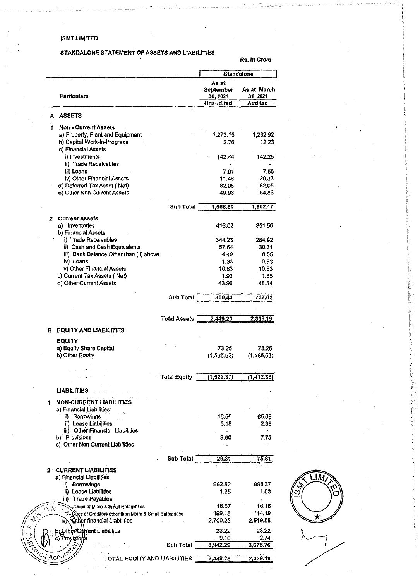## ISMT LIMITED

## STANDALONE STATEMENT OF ASSETS AND LIABILITIES

Rs.ln Crore

|   |                                                                   |                     |                                                    | <b>Standalone</b>                  |
|---|-------------------------------------------------------------------|---------------------|----------------------------------------------------|------------------------------------|
|   | <b>Particulars</b>                                                |                     | As at<br>September<br>30, 2021<br><b>Unaudited</b> | As at March<br>31, 2021<br>Audited |
|   |                                                                   |                     |                                                    |                                    |
| A | <b>ASSETS</b>                                                     |                     |                                                    |                                    |
| 1 | <b>Non-Current Assets</b>                                         |                     |                                                    |                                    |
|   | a) Property, Plant and Equipment                                  |                     | 1 273.15                                           | 1,282.92                           |
|   | b) Capital Work-in-Progress                                       |                     | 2.76                                               | 12.23                              |
|   | c) Financial Assets                                               |                     |                                                    |                                    |
|   | i) Investments                                                    |                     | 142.44                                             | 142.25                             |
|   | ii) Trade Receivables                                             |                     |                                                    |                                    |
|   | iii) Loans                                                        |                     | 7.01                                               | 7.56                               |
|   | iv) Other Financial Assets                                        |                     | 11.46                                              | 20.33                              |
|   | d) Deferred Tax Asset (Net)                                       |                     | 82.05                                              | 82.05                              |
|   | e) Other Non Current Assets                                       |                     |                                                    |                                    |
|   |                                                                   |                     | 49,93                                              | 54.83                              |
|   |                                                                   | Sub Total           | 1,568.80                                           | 1,602.17                           |
|   |                                                                   |                     |                                                    |                                    |
|   | 2 Current Assets                                                  |                     |                                                    |                                    |
|   | a) Inventories                                                    |                     | 416.02                                             | 351.56                             |
|   | b) Financial Assets                                               |                     |                                                    |                                    |
|   | i) Trade Receivables                                              |                     | 344.23                                             | 284.92                             |
|   | ii) Cash and Cash Equivalents                                     |                     | 57.64                                              | 30.31                              |
|   | iii) Bank Balance Other than (ii) above                           |                     | $-4.49$                                            | 8.55                               |
|   | iv) Loans                                                         |                     | 1.33                                               | 0.96                               |
|   | v) Other Financial Assets                                         |                     | 10.83                                              | 10.83                              |
|   | c) Current Tax Assets (Net)                                       |                     | 1.93                                               | 1.35                               |
|   | d) Other Current Assets                                           |                     | 43.96                                              | 48.54                              |
|   |                                                                   |                     |                                                    |                                    |
|   |                                                                   | Sub Total           | 880,43                                             | 737.02                             |
|   |                                                                   |                     |                                                    |                                    |
|   |                                                                   |                     |                                                    |                                    |
|   |                                                                   | <b>Total Assets</b> | 2,449.23                                           | 2,339.19                           |
|   | <b>EQUITY AND LIABILITIES</b>                                     |                     |                                                    |                                    |
|   |                                                                   |                     |                                                    |                                    |
|   | <b>EQUITY</b>                                                     |                     |                                                    |                                    |
|   | a) Equity Share Capital                                           |                     | 73.25                                              | 73.25                              |
|   | b) Other Equity                                                   |                     | (1, 595.62)                                        | (1, 485.63)                        |
|   |                                                                   |                     |                                                    |                                    |
|   |                                                                   |                     |                                                    |                                    |
|   |                                                                   | <b>Total Equity</b> | (1, 522.37)                                        | (1, 412.38)                        |
|   |                                                                   |                     |                                                    |                                    |
|   | <b>LIABILITIES</b>                                                |                     |                                                    |                                    |
|   | <b>NON-CURRENT LIABILITIES</b>                                    |                     |                                                    |                                    |
|   | a) Financial Liabilities                                          |                     |                                                    |                                    |
|   | i) Borrowings                                                     |                     | 16.56                                              | 65.68                              |
|   | ii) Lease Liabilities                                             |                     | 3.15                                               | 2.38                               |
|   | iii) Other Financial Liabilities                                  |                     |                                                    | ٠                                  |
|   | b) Provisions                                                     |                     | 9.60                                               | 7.75                               |
|   | c) Other Non Current Liabilities                                  |                     |                                                    |                                    |
|   |                                                                   |                     |                                                    |                                    |
|   |                                                                   |                     |                                                    | 75.81                              |
|   |                                                                   |                     | 29.31                                              |                                    |
|   |                                                                   | Sub Total           |                                                    |                                    |
|   | 2 CURRENT LIABILITIES                                             |                     |                                                    |                                    |
|   | a) Financial Liabilities                                          |                     |                                                    |                                    |
|   | i) Borrowings                                                     |                     | 992.52                                             | 998.37                             |
|   | ii) Lease Liabilities                                             |                     | 1.35                                               | 1.53                               |
|   | <b>Trade Payables</b><br>iii)                                     |                     |                                                    |                                    |
|   | Dues of Micro & Small Enterprises                                 |                     | 16.67                                              | 16.16                              |
|   | D N V                                                             |                     | 199.18                                             | 114.19                             |
|   | 4- Dues of Creditors other than Micro & Small Enterprises<br>iv). |                     |                                                    |                                    |
|   | Gther financial Liabilities                                       |                     | 2,700.25                                           | 2,519.55                           |
|   | .Qther <b>/Current Liabilities</b>                                |                     | 23.22                                              | 23.22                              |
|   | Provisions                                                        |                     | 9.10                                               | 2.74                               |
|   |                                                                   | Sub Total           | 3,942.29                                           | 3,675.76                           |
|   | Acco <sup>U</sup><br>TOTAL EQUITY AND LIABILITIES                 |                     | 2,449.23                                           | 2,339.19                           |

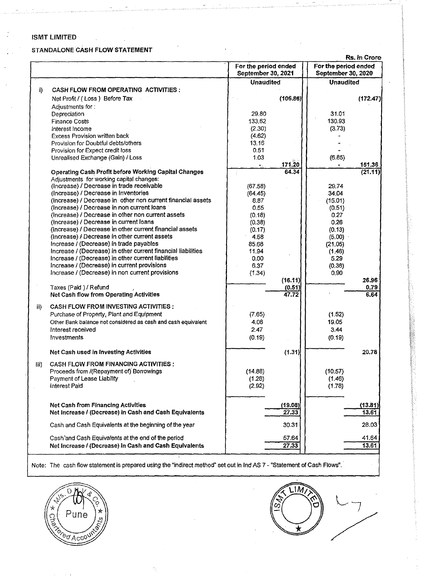## ISMT LIMITED

Ĵ

Ϊ.

J.

## STANDALONE CASH FLOW STATEMENT

 $\bar{z}$ 

Rs. in Crore

|       |                                                                                                              | For the period ended<br>September 30, 2021 |                 | For the period ended<br>September 30, 2020 |                   |
|-------|--------------------------------------------------------------------------------------------------------------|--------------------------------------------|-----------------|--------------------------------------------|-------------------|
|       |                                                                                                              | <b>Unaudited</b>                           |                 | <b>Unaudited</b>                           |                   |
| i)    | <b>CASH FLOW FROM OPERATING ACTIVITIES:</b>                                                                  |                                            |                 |                                            |                   |
|       | Net Profit / (Loss) Before Tax                                                                               |                                            | (106.86)        |                                            | (172.47)          |
|       | Adjustments for:                                                                                             |                                            |                 |                                            |                   |
|       | Depreciation                                                                                                 | 29.80                                      |                 | 31.01                                      |                   |
|       | <b>Finance Costs</b>                                                                                         | 133.62                                     |                 | 130.93                                     |                   |
|       | Interest Income                                                                                              | (2.30)                                     |                 | (3.73)                                     |                   |
|       | <b>Excess Provision written back</b>                                                                         | (4.62)                                     |                 |                                            |                   |
|       | Provision for Doubtful debts/others                                                                          | 13,16                                      |                 |                                            |                   |
|       | Provision for Expect credit loss                                                                             | 0.51                                       |                 |                                            |                   |
|       | Unrealised Exchange (Gain) / Loss                                                                            | $1.03 -$                                   |                 | (6.85)                                     |                   |
|       |                                                                                                              | $\bullet$ .                                | 171.20<br>64.34 |                                            | 151.36<br>(21.11) |
|       | Operating Cash Profit before Working Capital Changes<br>Adjustments for working capital changes:             |                                            |                 |                                            |                   |
|       | (Increase) / Decrease in trade receivable                                                                    | (67.58)                                    |                 | 29.74                                      |                   |
|       | (Increase) / Decrease in Inventories                                                                         | (64.45)                                    |                 | 34.04                                      |                   |
|       | (Increase) / Decrease in other non current financial assets                                                  | 8.87                                       |                 | (15.01)                                    |                   |
|       | (Increase) / Decrease in non current loans                                                                   | 0.55                                       |                 | (0.51)                                     |                   |
|       | (Increase) / Decrease in other non current assets                                                            | (0.18)                                     |                 | 0.27                                       |                   |
|       | (Increase) / Decrease in current loans                                                                       | (0.38)                                     |                 | 0.26                                       |                   |
|       | (Increase) / Decrease in other current financial assets                                                      | (0.17)                                     |                 | (0.13)                                     |                   |
|       | (Increase) / Decrease in other current assets                                                                | 4,58                                       |                 | (5.00)                                     |                   |
|       | Increase / (Decrease) in trade payables                                                                      | 85.68                                      |                 | (21.05)                                    |                   |
|       | Increase / (Decrease) in other current financial liabilities                                                 | 11.94                                      |                 | (1.46)                                     |                   |
|       | Increase / (Decrease) in other current liabilities                                                           | 0.00                                       |                 | 5.29                                       |                   |
|       | Increase / (Decrease) in current provisions                                                                  | 6.37                                       |                 | (0.38)                                     |                   |
|       | Increase / (Decrease) in non current provisions                                                              | (1.34)                                     |                 | 0.90                                       |                   |
|       | Taxes (Paid) / Refund                                                                                        |                                            | (16.11)         |                                            | 26.96<br>0.79     |
|       | Net Cash flow from Operating Activities                                                                      |                                            | (0.51)<br>47.72 |                                            | 6,64              |
|       |                                                                                                              |                                            |                 |                                            |                   |
| ii)   | <b>CASH FLOW FROM INVESTING ACTIVITIES:</b>                                                                  |                                            |                 |                                            |                   |
|       | Purchase of Property, Plant and Equipment                                                                    | (7.65)                                     |                 | (1.52)                                     |                   |
|       | Other Bank balance not considered as cash and cash equivalent                                                | 4.06                                       |                 | 19.05                                      |                   |
|       | Interest received                                                                                            | 2.47                                       |                 | 3.44                                       |                   |
|       | Investments                                                                                                  | (0.19)                                     |                 | (0.19)                                     |                   |
|       | Net Cash used in Investing Activities                                                                        |                                            | (1.31)          |                                            | 20.78             |
|       |                                                                                                              |                                            |                 |                                            |                   |
| HI) - | <b>CASH FLOW FROM FINANCING ACTIVITIES:</b>                                                                  |                                            |                 |                                            |                   |
|       | Proceeds from /(Repayment of) Borrowings                                                                     | (14.88)                                    |                 | (10.57)                                    |                   |
|       | Payment of Lease Liability                                                                                   | (1.28)                                     |                 | (1.46)                                     |                   |
|       | <b>Interest Paid</b>                                                                                         | (2.92)                                     |                 | (1.78)                                     |                   |
|       | <b>Net Cash from Financing Activities</b>                                                                    |                                            | (19.08)         |                                            | (13.81)           |
|       | Net Increase / (Decrease) in Cash and Cash Equivalents                                                       |                                            | 27.33           |                                            | 13.61             |
|       | Cash and Cash Equivalents at the beginning of the year                                                       |                                            | 30.31           |                                            | 28.03             |
|       |                                                                                                              |                                            |                 |                                            |                   |
|       | Cash'and Cash Equivalents at the end of the period<br>Net Increase / (Decrease) in Cash and Cash Equivalents |                                            | 57.64           |                                            | 41.64<br>13.61    |
|       |                                                                                                              |                                            | 27.33           |                                            |                   |

Note: The cash flow statement is prepared using the "indirect method" set out in lnd AS 7- "Statement of Cash Flows".



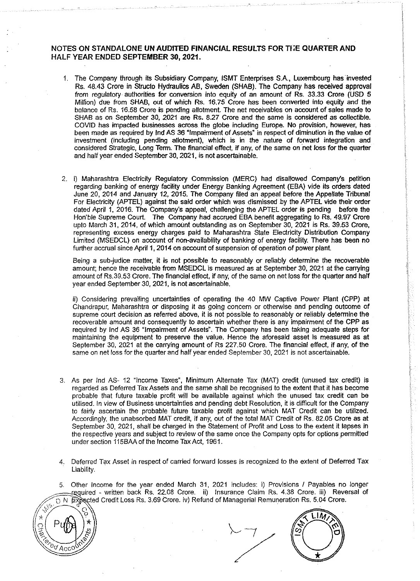# **NOTES ON STANDALONE UN AUDITED FINANCIAL RESULTS FOR THE QUARTER AND** HALF YEAR ENDED SEPTEMBER 30, 2021.

- 1. The Company through its Subsidiary Company, ISMT Enterprises S.A., Luxembourg has invested Rs. 48.43 Crore in Structo Hydraulics AB, Sweden (SHAB). The Company has received approval from regulatory authorities for conversion into equity of an amount of Rs. 33.33 Crore (USD 5 Million) due from SHAB, out of which Rs. 16.75 Crore has been converted into equity and the balance of Rs. 16.58 Crore is pending allotment. The net receivables on account of sales made to SHAB as on September 30, 2021 are Rs. 8.27 Crore and the same is considered as collectible. COVID has impacted businesses across the globe including Europe. No provision, however, has been made as required by lnd AS 36 "Impairment of Assets" in respect of diminution in the value of investment (including pending allotment), which is in the nature of forward integration and considered Strategic, Long Term. The financial effect, if any, of the same on net loss for the quarter and half year ended September 30, 2021, is not ascertainable.
- 2. i) Maharashtra Electricity Regulatory Commission (MERC) had disallowed Company's petition regarding banking of energy facility under Energy Banking Agreement (EBA) vide its orders dated June 20, 2014 and January 12, 2015. The Company filed an appeal before the Appellate Tribunal For Electricity (APTEL) against the said order which was dismissed by the APTEL vide their order dated April 1, 2016. The Company's appeal, challenging the APTEL order is pending before the Hon'ble Supreme Court. The Company had accrued EBA benefit aggregating to Rs. 49.97 Crore upto March 31, 2014, of which amount outstanding as on September 30, 2021 is Rs. 39.53 Crore, representing excess energy charges paid to Maharashtra State Eleclricity Distribution Company Limited (MSEDCL) on account of non-availability of banking of energy facility. There has been no further accrual since April 1, 2014 on account of suspension of operation of power plant.

Being a sub-judice matter, it is not possible to reasonably or reliably determine the recoverable amount; hence the receivable from MSEDCL is measured as at September 30, 2021 at the carrying amount of Rs.39.53 Crore. The financial effect, if any, of the same on net loss for the quarter and half year ended September 30,2021, is not ascertainable.

ii) Considering prevailing uncertainties of operating the 40 MW Captive Power Plant (CPP) at Chandrapur, Maharashtra or disposing it as going concern or otherwise and pending outcome of supreme court decision as referred above, it is not possible to reasonably or reliably determine the recoverable amount and consequently to ascertain whether there is any impairment of the CPP as required by lnd AS 36 "Impairment of Assets". The Company has been taking adequate steps for maintaining the equipment to preserve the value. Hence the aforesaid asset is measured as at September 30, 2021 at the carrying amount of Rs 227.50 Crore. The financial effect, if any, of the same on net loss for the quarter and half year ended September 30, 2021 is not ascertainable.

- 3. As per lnd AS- 12 "Income Taxes", Minimum Alternate Tax (MAT) credit (unused tax credit) is regarded as Deferred Tax Assets and the same shall be recognised to the extent that it has become probable that future taxable profit will be available against which the unused tax credit can be utilised. In view of Business uncertainties and pending debt Resolution, it is difficult for the Company to fairly ascertain the probable future taxable profit against which MAT Credit can be utilized. Accordingly, the unabsorbed MAT credit, if any, out of the total MAT Credit of Rs. 82.05 Crore as at September 30, 2021, shall be charged in the Statement of Profit and Loss to the extent it lapses in the respective years and subject to review of the same once the Company opts for options permitted under section 115BM of the Income Tax Act, 1961.
- 4. Deferred Tax Asset in respect of carried forward losses is recognized to the extent of Deferred Tax Liability.

Other Income for the year ended March 31, 2021 includes: i) Provisions / Payables no longer required - written back Rs. 22.08 Crore. ii) Insurance Claim Rs. 4.38 Crore. iii) Reversal of D.N. Expected Credit Loss Rs. 3.69 Crore. iv) Refund of Managerial Remuneration Rs. 5.04 Crore.



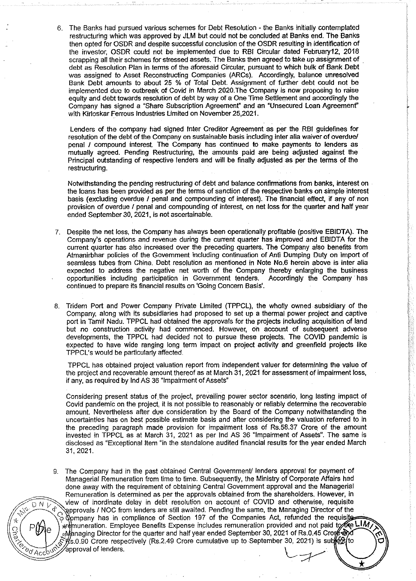6. The Banks had pursued various schemes for Debt Resolution - the Banks initially contemplated restructuring which was approved by JLM but could not be concluded at Banks end. The Banks then opted for OSDR and despite successful conclusion of the OSDR resulting in identification of the investor, OSDR could not be implemented due to RBI Circular dated February12, 2018 scrapping all their schemes for stressed assets. The Banks then agreed to take up assignment of debt as Resolution Plan in terms of the aforesaid Circular, pursuant to which bulk of Bank Debt was assigned to Asset Reconstructing Companies (ARCs). Accordingly, balance unresolved Bank Debt amounts to about 25 % of Total Debt. Assignment of further debt could not be implemented due to outbreak of Covid in March 2020.The Company is now proposing to raise equity and debt towards resolution of debt by way of a One Time Settlement and accordingly the Company has signed a "Share Subscription Agreement' and an "Unsecured Loan Agreement" with Kirloskar Ferrous Industries Limited on November 25,2021.

Lenders of the company had signed Inter Creditor Agreement as per the RBI guidelines for resolution of the debt of the Company on sustainable basis including inter alia waiver of overdue/ penal I compound interest. The Company has continued to make payments to lenders as mutually agreed. Pending Restructuring, the amounts paid are being adjusted against the Principal outstanding of respective lenders and will be finally adjusted as per the terms of the restructuring.

Notwithstanding the pending restructuring of debt and balance confirmations from banks, interest on the loans has been provided as per the terms of sanction of the respective banks on simple interest basis (excluding overdue I penal and compounding of interest). The financial effect, if any of non provision of overdue I penal and compounding of interest, on net loss for the quarter and half year ended September 30, 2021, is not ascertainable.

- 7. Despite the net loss, the Company has always been operationally profitable (positive EBIDTA). The Company's operations and revenue during the current quarter has improved and EBIDTA for the current quarter has also increased over the preceding quarters. The Company also benefits from Atmanirbhar policies of the Government including continuation of Anti Dumping Duty on import of seamless tubes from China. Debt resolution as mentioned in Note No.6 herein above is inter alia expected to address the negative net worth of the Company thereby enlarging the business opportunities including participation in Government tenders. Accordingly the Company has continued to prepare its financial results on 'Going Concern Basis'.
- 8. Tridem Port and Power Company Private Limited (TPPCL), the wholly owned subsidiary of the Company, along with its subsidiaries had proposed to set up a thermal power project and captive port in Tamil Nadu. TPPCL had obtained the approvals for the projects including acquisition of land but no construction activity had commenced. However, on account of subsequent adverse developments, the TPPCL had decided not to pursue these projects. The COVID pandemic is expected to have wide ranging long term impact on project activity and greenfield projects like TPPCL's would be particularly affected.

TPPCL has obtained project valuation report from independent valuer for determining the value of the project and recoverable amount thereof as at March 31, 2021 for assessment of impairment loss, if any, as required by lnd AS 36 "Impairment of Assets"

Considering present status of the project, prevailing power sector scenario, long lasting impact of Covid pandemic on the project, it is not possible to reasonably or reliably determine the recoverable amount. Nevertheless after due consideration by the Board of the Company notwithstanding the uncertainties has on best possible estimate basis and after considering the valuation referred to in the preceding paragraph made provision for impairment loss of Rs.58.37 Crore of the amount invested in TPPCL as at March 31, 2021 as per lnd AS 36 "Impairment of Assets". The same is disclosed as "Exceptional Item "in the standalone audited financial results for the year ended March 31, 2021.

9. The Company had in the past obtained Central Government/ lenders approval for payment of Managerial Remuneration from time to time. Subsequently, the Ministry of Corporate Affairs had done away with the requirement of obtaining Central Government approval and the Managerial Remuneration is determined as per the approvals obtained from the shareholders. However, in  $\widehat{D'N}$  view of inordinate delay in debt resolution on account of COVID and otherwise, requisite // approvals / NOC from lenders are still awaited. Pending the same, the Managing Director of the .<br>. .• Opmpany has in compliance of Section 197 of the Companies Act, refunded the requisite \*remuneration. Employee Benefits Expense includes remuneration provided and not paid to the LIM <sub>.</sub>:Managing Director for the quarter and half year ended September 30, 2021 of Rs.0.45 Crone ক্ষীৰ্ব executive up to September 30, 2021) is subject to the executive up to September 30, 2021) is subject to  $\frac{1}{2}$   $\frac{1}{2}$   $\frac{1}{2}$   $\frac{1}{2}$   $\frac{1}{2}$  approval of lenders.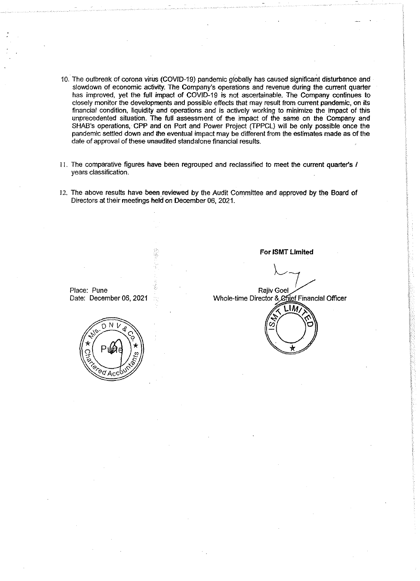- 10. The outbreak of corona virus (COVID-19) pandemic globally has caused significant disturbance and slowdown of economic activity. The Company's operations and revenue during the current quarter has improved, yet the full impact of COVID-19 is not ascertainable. The Company continues to closely monitor the developments and possible effects that may result from current pandemic, on its financial condition, liquidity and operations and is actively working to minimize the impact of this unprecedented situation. The full assessment of the impact of the same on the Company and SHAB's operations, CPP and on Port and Power Project (TPPCL) will be only possible once the pandemic settled down and the eventual impact may be different from the estimates made as of the date of approval of these unaudited standalone financial results.
- II. The comparative figures have been regrouped and reclassified to meet the current quarter's I years classification.
- 12. The above results have been reviewed by the Audit Committee and approved by the Board of Directors at their meetings held on December 06, 2021.

**For ISMT Limited** 

Place: Pune Date: December 06, 2021

**Railv Goel** Whole-time Director & Chief Financial Officer



N  $\sqrt[6]{\frac{1}{\text{Acc}}}$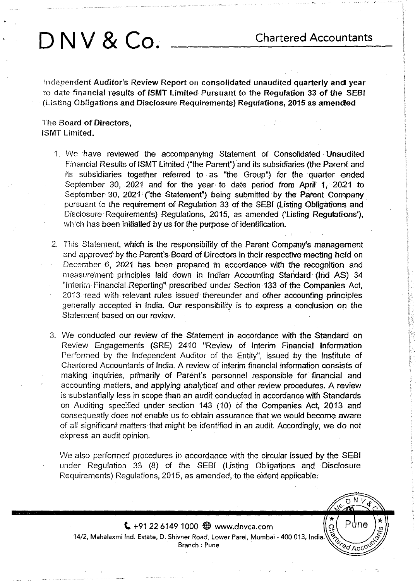$N$   $V$ n

Půne

 $\sqrt[6]{\mathcal{A}}$ cc

los<br>Vex

**DNV & Co.** Chartered Accountants

Independent Auditor's Review Report on consolidated unaudited quarterly and year to date financial results of ISMT Limited Pursuant to the Regulation 33 of the SEBI (Listing Obligations and Disclosure Requirements) Regulations, 2015 as amended

The Board of Directors, ISMT Limited.

- 1. We have reviewed the accompanying Statement of Consolidated Unaudited Financial Results of ISMT Limited ("the Parent") and its subsidiaries (the Parent and its subsidiaries together referred to as "the Group") for the quarter ended September 30, 2021 and for the year to date period from April 1; 2021 to September 30, 2021 ("the Statement") being submitted by the Parent Company pursuant to the requirement of Regulation 33 of the SEBI {listing Obligations and Disclosure Requirements) Regulations, 2015, as amended ('Listing Regulations'), which has been initialled by us for the purpose of identification.
- 2. This Statement, which is the responsibility of the Parent Company's management and approved by the Parent's Board of Directors in their respective meeting held on December 6, 2021 has been prepared in accordance with the recognition and measurement principles laid down in Indian Accounting Standard· (lnd AS) 34 "Interim Financial Reporting" prescribed under Section 133 of the Companies Act, 2013 read with relevant rules issued thereunder and other accounting principles generally accepted in India. Our responsibility is to express a conclusion on the Statement based on our review.
- 3. We conducted our review of the Statement in accordance with the Standard on Review Engagements (SRE) 2410 "Review of Interim Financial Information Performed by the Independent Auditor of the Entity", issued by the Institute of Chartered Accountants of India. A review of interim financial information consists of making inquiries, primarily of Parent's personnel responsible for financial and accounting matters, and applying analytical and other review procedures. A review is substantially less in scope than an audit conducted in accordance with Standards on Auditing specified under section 143 (10) of the Companies Act, 2013 and consequently does not enable us to obtain assurance that we would become aware of all significant matters that might be identified in an audit. Accordingly, We do not express an audit opinion.

We also performed procedures in accordance with the circular issued by the SEBI under Regulation 33 (8) of the SEBI (Listing Obligations and Disclosure Requirements) Regulations, 2015, as amended, to the extent applicable.

 $\left( \frac{1}{2} + 91 \right.$  22 6149 1000  $\bigoplus$  www.dnvca.com 14/2, Mahalaxmi Ind. Estate, D. Shivner Road, Lower Parel, Mumbai- 400 013, India. Branch : Pune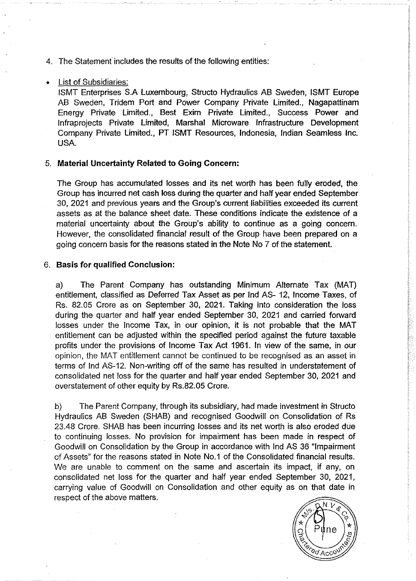4. The Statement includes the results of the following entities:

## • List of Subsidiaries:

ISMT Enterprises S.A Luxembourg, Structo Hydraulics AB Sweden, ISMT Europe AB Sweden, Tridem Port and Power Company Private Limited., Nagapattinam Energy Private Limited., Best Exim Private Limited., Success Power and lnfraprojects Private Limited, Marshal Microware Infrastructure Development Company Private Limited., PT ISMT Resources, Indonesia, Indian Seamless Inc. USA.

# 5. **Material Uncertainty Related to Going Concern:**

The Group has accumulated losses and its net worth has been fully eroded, the Group has incurred net cash loss during the quarter and half year ended September 30, 2021 and previous years and the Group's current liabilities exceeded its current assets as at the balance sheet date. These conditions indicate the existence of a material uncertainty about the Group's ability to continue as a going concern. However, the consolidated financial result of the Group have been prepared on a going concern basis for the reasons stated in the Note No 7 of the statement.

# 6. **Basis for qualified Conclusion:**

a) The Parent Company has outstanding Minimum Alternate Tax (MAT) entitlement, classified as Deferred Tax Asset as per lnd AS- 12, Income Taxes, of Rs. 82.05 Crore as on September 30, 2021. Taking into consideration the loss during the quarter and half year ended September 30, 2021 and carried forward losses under the Income Tax, in our opinion, it is not probable that the MAT entitlement can be adjusted within the specified period against the future taxable profits under the provisions of Income Tax Act 1961. In view of the same, in our opinion, the MAT entitlement cannot be continued to be recognised as an asset in terms of lnd AS-12. Non-writing off of the same has resulted in understatement of consolidated net loss for the quarter and half year ended September 30, 2021 and overstatement of other equity by Rs.82.05 Crore.

b) The Parent Company, through its subsidiary, had made investment in Structo Hydraulics AB Sweden (SHAB) and recognised Goodwill on Consolidation of Rs 23.48 Crore. SHAB has been incurring losses and its net worth is also eroded due to continuing losses. No provision for impairment has been made in respect of Goodwill on Consolidation by the Group in accordance with lnd AS 36 "Impairment of Assets" for the reasons stated in Note No.1 of the Consolidated financial results. We are unable to comment on the same and ascertain its impact, if any, on consolidated net loss for the quarter and half year ended September 30, 2021, carrying value of Goodwill on Consolidation and other equity as on that date in respect of the above matters.

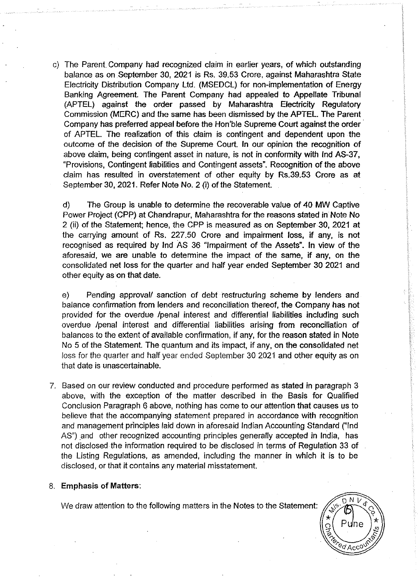c) The Parent Company had recognized claim in earlier years, of which outstanding balance as on September 30, 2021 is Rs. 39.53 Crore, against Maharashtra State Electricity Distribution Company ltd. (MSEDCL) for non-implementation of Energy Banking Agreement. The Parent Company had appealed to Appellate Tribunal (APTEL) against the order passed by Maharashtra Electricity Regulatory Commission (MERC) and the same has been dismissed by the APTEL. The Parent Company has preferred appeal before the Hon'ble Supreme Court against the order · of APTEL. The realization of this claim is contingent and dependent upon the outcome of the decision of the Supreme Court. In our opinion the recognition of above claim, being contingent asset in nature, is not in conformity with lnd AS-37, "Provisions, Contingent liabilities and Contingent assets". Recognition of the above claim has resulted in overstatement of other equity by Rs.39.53 Crore as at September 30,2021. Refer Note No.2 (i) of the Statement.

d) The Group is unable to determine the recoverable value of 40 MW Captive Power Project (CPP) at Chandrapur, Maharashtra for the reasons stated in Note No 2 (ii) of the Statement; hence, the CPP is measured as on September 30, 2021 at the carrying amount of Rs. 227.50 Crore and impairment loss, if any, is not recognised as required by lnd AS 36 "Impairment of the Assets". In view of the aforesaid, we are unable to determine the impact of the same, if any, on the consolidated net loss for the quarter and half year ended September 30 2021 and other equity as on that date.

e) Pending approval/ sanction of debt restructuring scheme by lenders and balance confirmation from lenders and reconciliation thereof, the Company has not provided for the overdue /penal interest and differential liabilities including such overdue /penal interest and differential liabilities arising from reconciliation of balances to the extent of available confirmation, if any, for the reason stated in Note No 5 of the Statement. The quantum and its impact, if any, on the consolidated net loss for the quarter and half year ended September 30 2021 and other equity as on that date is unascertainable.

7. Based on our review conducted and procedure performed as stated in paragraph 3 above, with the exception of the matter described in the Basis for Qualified Conclusion Paragraph 6 above, nothing has come to our attention that causes us to believe that the accompanying statement prepared in accordance with recognition and management principles laid down in aforesaid Indian Accounting Standard ("lnd AS") and other recognized accounting principles generally accepted in India, has not disclosed the information required to be disclosed in terms of Regulation 33 of the Listing Regulations, as amended, including the manner in which it is to be disclosed, or that it contains any material misstatement.

# 8. Emphasis of Matters:

We draw attention to the following matters in the Notes to the Statement:

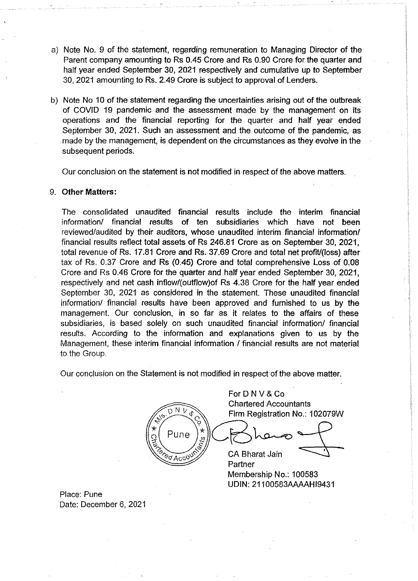- a) Note No. 9 of the statement, regarding remuneration to Managing Director of the Parent company amounting to Rs 0.45 Crore and Rs 0.90 Crore for. the quarter and half year ended September 30, 2021 respectively and cumulative up to September 30, 2021 amounting to Rs. 2.49 Crore is subject to approval of Lenders.
- b) Note No 10 of the statement regarding the uncertainties arising out of the outbreak of COVID 19 pandemic and the assessment made by the management on its operations and the financial reporting for the quarter and half year ended September 30, 2021. Such an assessment and the outcome of the pandemic, as made by the management, is dependent on the circumstances as they evolve in the subsequent periods.

Our conclusion on the statement is not modified in respect of the above matters.

# 9. **Other Matters:**

The consolidated unaudited financial results include the interim financial information/ financial results of ten subsidiaries which have not been reviewed/audited by their auditors, whose unaudited interim financial information/ financial results reflect total assets of Rs 246.81 Crore as on September 30, 2021, total revenue of Rs. 17.81 Crore and Rs. 37.69 Crore and total net profit/(loss) after tax of Rs. 0.37 Crore and Rs (0.45) Crore and total comprehensive Loss of 0.08 Crore and Rs 0.46 Crore for the quarter and half year ended September 30, 2021, respectively and net cash inflow/(outflow)of Rs 4.38 Crore for the half year ended September 30, 2021 as considered in the statement. These unaudited financial information/ financial results have been approved and furnished to us by the management. Our conclusion, in so far as it relates to the affairs of these subsidiaries, is based solely on such unaudited financial information/ financial results. According to the information and explanations given to us by the Management, these interim financial information / financial results are not material to the Group.

Our conclusion on the Statement is not modified in respect of the above matter.

For D N V & Co Chartered Accountants N V Firm Registration No.: 102079W Pune CA Bharat Jain <u>୧</u>୪ Acco Partner Membership No.: 100583

UDIN: 21100583AAAAH19431

Place: Pune Date: December 6, 2021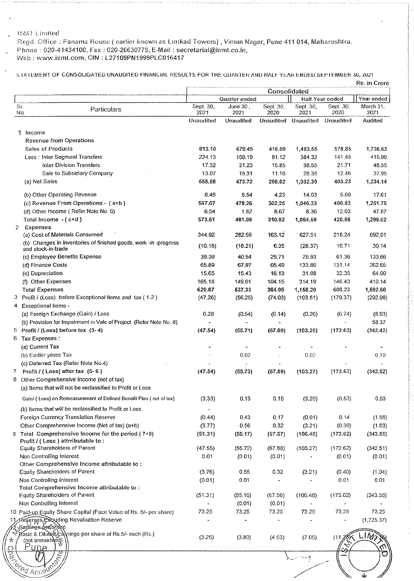## ISMY Limited

Regd. Office: Fanama House (earlier known as Lunkad Towers) , Viman Nagar, Pune 411 014, Maharashtra. Phone : 020-41434100, Fax: 020-26630779, E-Mail : secretarial@ismt.co.in, Web : www.ismt.com, GIN : L27109PN1999PLC016417

S TATEMENT OF CONSOLIDATED UNAUDITED FINANCIAL RESULTS FOR THE QUARTER AND HALF YEAR ENDED SEPTEMBER 30, 2021

|              |                                                                                        |                   | Quarter ended      | Consolidated      |                          | Half Year ended   | Year ended        |
|--------------|----------------------------------------------------------------------------------------|-------------------|--------------------|-------------------|--------------------------|-------------------|-------------------|
| Sr.<br>No    | Particulars                                                                            | Sept. 30,<br>2021 | June $301$<br>2021 | Sept. 30,<br>2020 | Sept. 30,<br>2021        | Sept. 30,<br>2020 | March 31,<br>2021 |
|              |                                                                                        | Unaudited         | <b>Unaudited</b>   | Unaudited         | Unaudited                | Unaudited         | <b>Audited</b>    |
| 1            | Income                                                                                 |                   |                    |                   |                          |                   |                   |
|              | <b>Revenue from Operations</b>                                                         |                   |                    |                   |                          |                   |                   |
|              | <b>Sales of Products</b>                                                               | 813.10            | 670.45             | 416.09            | 1,483.55                 | 578.85            | 1,736.63          |
|              | Less: Inter Segment Transfers                                                          | 224.13            | 160.19             | 91.12             | 384.32                   | 141 45            | 415.99            |
|              | Inter Division Transfers                                                               | 17.32             | 21.23              | 15.85             | 38.55                    | 21.71             | 48.55             |
|              | Sale to Subsidiary Company                                                             | 13.07             | 15.31              | 11.10             | 28.38                    | 12.46             | 37.95             |
|              | (a) Net Sales                                                                          | 558.58            | 473.72             | 298.02            | 1,032.30                 | 403.23            | 1,234.14          |
|              |                                                                                        |                   |                    |                   |                          |                   |                   |
|              | (b) Other Operating Revenue                                                            | 8.49              | 5.54               | 4.23              | 14.03                    | 5.60              | 17.61             |
|              | (c) Revenue From Operations - (a+b)                                                    | 567.07            | 479.26             | 302.25            | 1,046.33                 | 408.83            | 1,251.75          |
|              | (d) Other Income (Refer Note No. 6)                                                    | 6.54              | 1.82               | 8.67              | 8.36                     | 12.03             | 47.87             |
|              | Total Income - (c+d)                                                                   | 573.61            | 481.08             | 310.92            | 1,054.69                 | 420.86            | 1,299.62          |
| $\mathbf{2}$ | Expenses                                                                               |                   |                    |                   |                          |                   |                   |
|              | (a) Cost of Materials Consumed                                                         | 344.92            | 282.59             | 163.12            | 627.51                   | 218.24            | 692.01            |
|              | (b) Changes in inventories of finished goods, work -in -progress                       |                   |                    |                   |                          |                   |                   |
|              | and stock-in-trade                                                                     | (10.16)           | (18.21)            | 6.35              | (28.37)                  | 10.71             | 30.14             |
|              | (c) Employee Benefits Expense                                                          | 39.39             | 40.54              | 29.71             | 79.93                    | 61.36             | 133.66            |
|              | (d) Finance Costs                                                                      | 65.89             | 67.97              | 65.49             | 133.86                   | 131.14            | 262.65            |
|              | (e) Depreciation                                                                       | 15.65             | 15.43              | 16.13             | 31.08                    | 32.35             | 64.00             |
|              | (f) Other Expenses                                                                     | 165.18            | 149.01             | 104.15            | 314.19                   | 146.43            | 410.14            |
|              | <b>Total Expenses</b>                                                                  | 620.87            | 537.33             | 384.95            | 1,158.20                 | 600.23            | 1,592.60          |
|              | Profit / (Loss) before Exceptional Items and tax (1-2)                                 | (47.26)           | (56.25)            | (74.03)           | (103.51)                 | (179.37)          | (292.98)          |
|              |                                                                                        |                   |                    |                   |                          |                   |                   |
|              | Exceptional items -                                                                    |                   |                    |                   |                          |                   |                   |
|              | (a) Foreign Exchange (Gain) / Loss                                                     | 0.28              | (0.54)             | (6.14)            | (0.26)                   | (6.74)            | (8.93)            |
|              | (b) Provision for Impairment in Vale of Project (Refer Note No. 8)                     |                   |                    |                   |                          |                   | 58.37             |
|              | Profit / (Loss) before tax (3-4)                                                       | (47.54)           | (55.71)            | (67.89)           | (103.25)                 | (172.63)          | (342.42)          |
|              | Tax Expenses:                                                                          |                   |                    |                   |                          |                   |                   |
|              | (a) Current Tax                                                                        |                   |                    |                   |                          |                   |                   |
|              | (b) Earlier years Tax                                                                  |                   | 0.02               |                   | 0.02                     |                   | 0.10              |
|              | (c) Deferred Tax (Refer Note No.4)                                                     |                   |                    |                   |                          |                   |                   |
|              | Profit / (Loss) after tax $(5-6)$                                                      | (47.54)           | (55.73)            | (67.89)           | (103.27)                 | (172.63)          | (342.52)          |
|              | Other Comprehensive Income (net of tax)                                                |                   |                    |                   |                          |                   |                   |
|              | (a) Items that will not be reclassified to Profit or Loss                              |                   |                    |                   |                          |                   |                   |
|              |                                                                                        |                   |                    |                   |                          |                   |                   |
|              | Gain/ (Loss) on Remeasurement of Defined Benefit Plan (net of fax)                     | (3.33)            | 0.13               | 0.15              | (3.20)                   | (0.53)            | 0.53              |
|              | (b) Items that will be reclassified to Profit or Loss                                  |                   |                    |                   |                          |                   |                   |
|              | Foreign Currency Translation Reserve                                                   | (0.44)            | 0.43               | 0.17              | (0.01)                   | 0.14              | (1.56)            |
|              | Other Comprehensive Income (Net of tax) (a+b)                                          | (3.77)            | 0.56               | 0.32              | (3.21)                   | (0.39)            | (1.03)            |
|              |                                                                                        |                   |                    |                   |                          |                   |                   |
| 9.           | Total Comprehensive Income for the period $(7+8)$<br>Profit / (Loss) attrributable to: | (51.31)           | (55.17)            | (67.57)           | (106.48)                 | (173.02)          | (343.55)          |
|              | Equity Shareholders of Parent                                                          | (47.55)           | (55.72)            |                   |                          | (172.62)          | (342.51)          |
|              |                                                                                        |                   |                    | (67.88)           | (103.27)                 |                   |                   |
|              | Non Controlling Interest                                                               | 0.01              | (0.01)             | (0.01)            |                          | (0.01)            | (0.01)            |
|              | Other Comprehensive Income attributable to:                                            |                   |                    |                   |                          |                   |                   |
|              | Equity Shareholders of Parent                                                          | (3.76)            | 0.55               | 0.32              | (3.21)                   | (0.40)            | (1.04)            |
|              | Non Controlling Interest                                                               | (0.01)            | 0.01               |                   |                          | 0.01              | 0.01              |
|              | Total Comprehensive Income attributable to:                                            |                   |                    |                   |                          |                   |                   |
|              | Equity Shareholders of Parent                                                          | (51.31)           | (55.16)            | (67.56)           | (106.48)                 | (173.02)          | (343.55)          |
|              | Non Controlling Interest                                                               |                   | (0.01)             | (0.01)            | $\overline{\phantom{a}}$ |                   |                   |
|              | 10 Paid-up Equity Share Capital (Face Value of Rs. 5/- per share)                      | 73.25             | 73.25              | 73.25             | 73.25                    | 73.25             | 73.25             |
|              | န်ရာ <b>ေငြအေ</b> ပြောင်း Revaluation Reserve                                          |                   |                    |                   |                          |                   | (1,725.37)        |
|              | Earnings betshare                                                                      |                   |                    |                   |                          |                   |                   |
|              | Basic & Diluted Eamings per share of Rs.5/- each (Rs.)                                 |                   |                    | (4.63)            |                          | (11)              | 1/(2)             |
|              | (not annualised)                                                                       | (3.25)            | (3.80)             |                   | (7.05)                   |                   |                   |
|              | 穴                                                                                      |                   |                    |                   |                          |                   |                   |
|              |                                                                                        |                   |                    |                   |                          |                   |                   |
|              |                                                                                        |                   |                    |                   |                          |                   |                   |
|              | Colleged McColl                                                                        |                   |                    |                   |                          |                   |                   |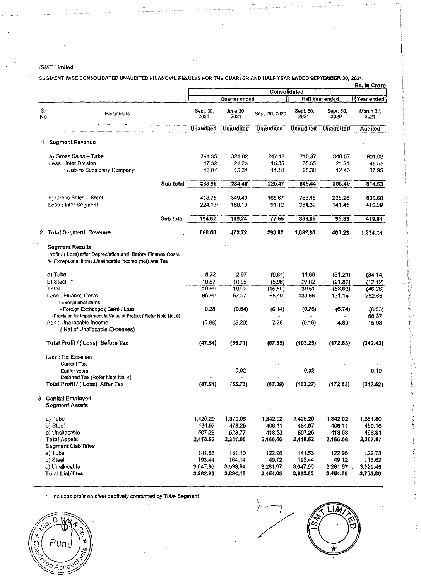## **ISMT Limited**

 $\ddot{\phantom{a}}$ 

SEGMENT WISE CONSOLIDATED UNALIDITED FINANCIAL REGULTS FOR THE QUARTER AND HALF YEAR ENDED SEPTEMBER 30, 2021.

|          |                                                                                                                                                |                   |                   | <b>Consolidated</b> | Rs. in Crore      |                        |                   |  |
|----------|------------------------------------------------------------------------------------------------------------------------------------------------|-------------------|-------------------|---------------------|-------------------|------------------------|-------------------|--|
|          |                                                                                                                                                |                   | Quarter ended     |                     |                   | <b>Half Year ended</b> | Year ended        |  |
| Sr<br>No | Particulars                                                                                                                                    | Sept. 30,<br>2021 | June 30 ,<br>2021 | Sept. 30, 2020      | Sept. 30,<br>2021 | Sept. 30<br>2020       | March 31,<br>2021 |  |
|          |                                                                                                                                                | <b>Unaudited</b>  | <b>Unaudited</b>  | <b>Unaudited</b>    | <b>Unaudited</b>  | <b>Unaudited</b>       | <b>Audited</b>    |  |
|          | 1 Segment Revenue                                                                                                                              |                   |                   |                     |                   |                        |                   |  |
|          | a) Gross Sales - Tube<br>Less: Inter Division                                                                                                  | 394.35<br>17.32   | 321.02<br>21.23   | 247.42<br>15.85     | 715.37<br>38.55   | 340.57<br>21.71        | 901.03<br>48.55   |  |
|          | : Sale to Subsidiary Company                                                                                                                   | 13.07             | 15.31             | 11.10               | 28.38             | 12.46                  | 37.95             |  |
|          | Sub total                                                                                                                                      | 363.96            | 284.48            | 220.47              | 648.44            | 306.40                 | 814.53            |  |
|          | b) Gross Sales - Steel<br>Less : Inter Segment                                                                                                 | 418.75<br>224.13  | 349.43<br>160.19  | 168.67<br>91.12     | 768.18<br>384.32  | 238,28<br>141.45       | 835.60<br>415.99  |  |
|          | Sub total                                                                                                                                      | 194.62            | 189.24            | 77.55               | 383.86            | 96.83                  | 419.61            |  |
|          | 2 Total Segment Revenue                                                                                                                        | 558.56            | 473.72            | 298.02              | 1,032.30          | 403.23                 | 1,234.14          |  |
|          | <b>Segment Results</b><br>Profit / (Loss) after Depreciation and Before Finance Costs<br>& Exceptional items Unallocable income (net) and Tax. |                   |                   |                     |                   |                        |                   |  |
|          | a) Tube                                                                                                                                        | 8.72              | 2.97              | (9.84)              | 11.69             | (31.21)                | (34.14)           |  |
|          | b) Steel *                                                                                                                                     | 10.87             | 16.95             | (5.96)              | 27.82             | (21.82)                | (12.12)           |  |
|          | Total                                                                                                                                          | 19.59             | 19.92             | (15.60)             | 39.51             | (53.03)                | (46.26)           |  |
|          | Less : Finance Costs<br>: Exceptional items                                                                                                    | 65.89             | 67.97             | 65.49               | 133.66            | 131.14                 | 262.65            |  |
|          | - Foreign Exchange (Gain) / Loss<br>-Provision for Impalment in Value of Project (Refer Note No. 8)                                            | 0.28              | (0.54)            | (6.14)              | (0.26)            | (6.74)                 | (8.93)<br>58.37   |  |
|          | Add: Unallocable Income<br>(Net of Unallocable Expenses)                                                                                       | (0.96)            | (8.20)            | 7.26                | (9.16)            | 4.80                   | 15.93             |  |
|          | Total Profit / (Loss) Before Tax                                                                                                               | (47.54)           | (55.71)           | (67.89)             | (103.25)          | (172.63)               | (342.42)          |  |
|          | Less: Tax Expenses                                                                                                                             |                   |                   |                     |                   |                        |                   |  |
|          | <b>Current Tax</b>                                                                                                                             |                   |                   |                     |                   |                        |                   |  |
|          | Earlier years<br>Deferred Tax (Refer Note No. 4)                                                                                               |                   | 0.02              |                     | 0.02              |                        | 0.10              |  |
|          | Total Profit / (Loss) After Tax                                                                                                                | (47.54)           | (55, 73)          | (67.89)             | (103.27)          | (172.63)               | (342.52)          |  |
| 3.       | <b>Capital Employed</b><br><b>Segment Assets</b>                                                                                               |                   |                   |                     |                   |                        |                   |  |
|          | a) Tube                                                                                                                                        | 1,426.29          | 1,379.06          | 1,342.02            | 1,426.29          | 1,342.02               | 1,351.80          |  |
|          | b) Steel                                                                                                                                       | 484.97            | 478.25            | 406,11              | 484.97            | 406.11                 | 459.16            |  |
|          | c) Unallocable                                                                                                                                 | 507.26            | 523,77            | 418.53              | 507.26            | 418.53                 | 496,91            |  |
|          | Total Assets<br><b>Segment Liabilities</b>                                                                                                     | 2,418.52          | 2,381.08          | 2,166.66            | 2,418.52          | 2,166.66               | 2,307.87          |  |
|          | a) Tube                                                                                                                                        | 141.53            | 131.10            | 122,96              | 141.53            | 122.96                 | 122.73            |  |
|          | b) Steel                                                                                                                                       | 193.44            | 164.14            | 49.12               | 193.44            | 49.12                  | 113.62            |  |
|          |                                                                                                                                                |                   |                   |                     |                   |                        |                   |  |
|          | c) Unallocable                                                                                                                                 | 3,647.96          | 3.598.94          | 3,281.97            | 3,647.96          | 3,281.97               | 3,529.45          |  |

. **Includes profit on steel captively consumed by Tube Segment** 

 $\Delta$ 



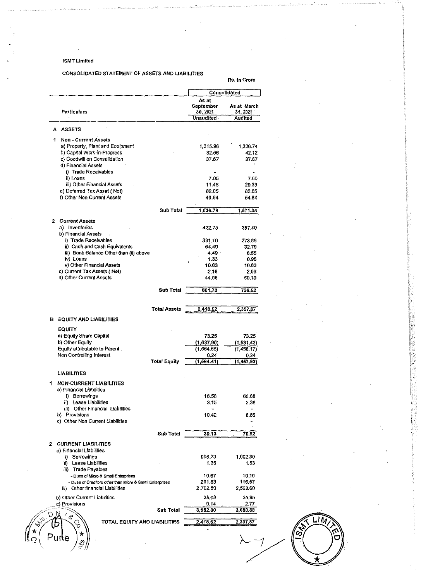## ISMT limited

## CONSOLIDATED STATEMENT OF ASSETS AND LIABILITIES

Rs. In Crore

|             |                                                             | As at                 | Consolidated            |
|-------------|-------------------------------------------------------------|-----------------------|-------------------------|
|             | Particulars                                                 | September<br>30, 2021 | As at March<br>31, 2021 |
|             |                                                             | Unaudited             | Audited                 |
|             | A ASSETS                                                    |                       |                         |
|             | 1 Non - Current Assets                                      |                       |                         |
|             | a) Property, Plant and Equipment                            | 1,315.96              | 1.326.74                |
|             | b) Capital Work-in-Progress                                 | 32.66                 | 42.12                   |
|             | c) Goodwill on Consolidation                                | 37.67                 | 37.67                   |
|             | d) Financial Assets                                         |                       |                         |
|             | i) Trade Receivables                                        |                       |                         |
|             | ii) Loans<br>iii) Other Financial Assets                    | 7.05<br>11.46         | 7.60                    |
|             | e) Deferred Tax Asset (Net)                                 | 82.05                 | 20.33<br>82.05          |
|             | f) Other Non Current Assets                                 | 49.94                 | 54.84                   |
|             |                                                             |                       |                         |
|             | Sub Total                                                   | 1,536.79              | 1,571.35                |
|             | 2 Current Assets<br>a) Inventories                          | 422.75                | 357.40                  |
|             | b) Financial Assets                                         |                       |                         |
|             | i) Trade Receivables                                        | 331.10                | 273.86                  |
|             | ii) Cash and Cash Equivalents                               | 64.49                 | 32.79                   |
|             | iii) Bank Balance Other than (ii) above                     | 4.49 .                | 6.55                    |
|             | iv) Loans                                                   | 1.33                  | 0.96                    |
|             | v) Other Financial Assets                                   | 10.83                 | 10.83                   |
|             | c) Current Tax Assets (Net)                                 | 2.18                  | 2.03                    |
|             | d) Other Current Assets                                     | 44.56                 | 50.10                   |
|             | <b>Sub Total</b>                                            | 881.73                | 736,52                  |
|             |                                                             |                       |                         |
|             | <b>Total Assets</b>                                         | 2,418.52              | 2,307,87                |
|             | <b>B</b> EQUITY AND LIABILITIES                             |                       |                         |
|             | <b>EQUITY</b>                                               |                       |                         |
|             | a) Equity Share Capital                                     | 73.25                 | 73.25                   |
|             | b) Other Equity                                             | (1,637.90)            | (1, 531.42)             |
|             | Equity attributable to Parent.                              | (1,564.65)            | (1,458.17)              |
|             | Non Controlling Interest<br><b>Total Equity</b>             | 0.24<br>(1, 564, 41)  | 0.24<br>[1,457.93]      |
|             | LIABILITIES                                                 |                       |                         |
| 1           | <b>NON-CURRENT LIABILITIES</b>                              |                       |                         |
|             | a) Financial Liabilities                                    |                       |                         |
|             | i) Borrowings                                               | 16.56                 | 65.68                   |
|             | ii) Lease Liabilities                                       | 3.15                  | 2.38                    |
|             | iii) Other Financial Liabilities                            | $\blacksquare$        | -                       |
|             | b) Provisions<br>c) Other Non Current Liabilities           | 10.42                 | 8.86                    |
|             | Sub Total                                                   | 30.13                 | 76.92                   |
| 2           | <b>CURRENT LIABILITIES</b>                                  |                       |                         |
|             | a) Financial Liabilities                                    |                       |                         |
|             | i) Borrowings                                               | 996.29                | 1,002.30                |
|             | ii) Lease Liabilities                                       | 1.35                  | 1.53                    |
|             | iii) Trade Payables                                         |                       |                         |
|             | - Dues of Micro & Small Enterprises                         | 16.67                 | 16,16                   |
|             | - Dues of Creditors other than Micro & Small Enterprises    | 201.83                | 116,57                  |
|             | Other financial Liabilities<br>iii)                         | 2,702.50              | 2,523.60                |
|             | b) Other Current Liabilities<br>c) Provisions               | 25.02<br>9.14         | 25,95<br>2.77           |
|             | Sub Total                                                   | 3,952.80              | 3,688.88                |
| <b>ANS.</b> | $\mathbb{M}_{\mathfrak{q}}$<br>TOTAL EQUITY AND LIABILITIES | 2,418.52              | 2,307.87                |
|             |                                                             |                       |                         |
|             | ★                                                           |                       |                         |

.IN O.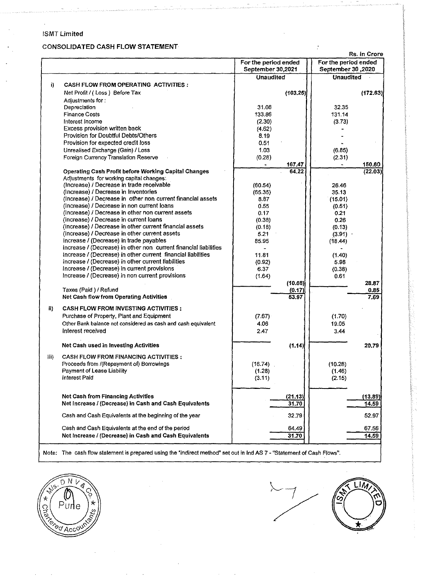## ISMT Limited

 $\bar{z}$ 

 $\frac{1}{\sqrt{2}}$ 

 $\ddot{\phantom{0}}$ 

# CONSOLIDATED CASH FLOW STATEMENT

 $\hat{z}$ 

|      |                                                                  | <b>NS. 111 VIULU</b> |                      |  |
|------|------------------------------------------------------------------|----------------------|----------------------|--|
|      |                                                                  | For the period ended | For the period ended |  |
|      |                                                                  | September 30,2021    | September 30,2020    |  |
|      |                                                                  | <b>Unaudited</b>     | <b>Unaudited</b>     |  |
| i)   | <b>CASH FLOW FROM OPERATING ACTIVITIES:</b>                      |                      |                      |  |
|      | Net Profit / (Loss) Before Tax                                   | (103.25)             | (172.63)             |  |
|      | Adjustments for:                                                 |                      |                      |  |
|      | Depreciation                                                     | 31.08                | 32.35                |  |
|      | <b>Finance Costs</b>                                             | 133.86               | 131.14               |  |
|      |                                                                  |                      |                      |  |
|      | Interest income                                                  | (2.30)               | (3.73)               |  |
|      | Excess provision written back                                    | (4.62)               |                      |  |
|      | Provision for Doubtful Debts/Others                              | 8.19                 |                      |  |
|      | Provision for expected credit loss                               | 0.51                 |                      |  |
|      | Unrealised Exchange (Gain) / Loss                                | 1.03                 | (6.85)               |  |
|      | Foreign Currency Translation Reserve                             | (0.28)               | (2.31)               |  |
|      |                                                                  | 167.47               | 150.60               |  |
|      | Operating Cash Profit before Working Capital Changes             | 64.22                | (22.03)              |  |
|      | Adjustments for working capital changes:                         |                      |                      |  |
|      | (Increase) / Decrease in trade receivable                        | (60.54)              | 26.46                |  |
|      | (Increase) / Decrease in Inventories                             | (65.35)              | 35.13                |  |
|      | (Increase) / Decrease in other non current financial assets      | 8.87                 | (15.01)              |  |
|      | (Increase) / Decrease in non current loans                       | 0.55                 | (0.51)               |  |
|      | (Increase) / Decrease in other non current assets                | 0.17                 | 0.21                 |  |
|      |                                                                  |                      |                      |  |
|      | (Increase) / Decrease in current loans                           | (0.38)               | 0.26                 |  |
|      | (Increase) / Decrease in other current financial assets          | (0.18)               | (0.13)               |  |
|      | (Increase) / Decrease in other current assets                    | 5.21                 | (3.91)               |  |
|      | Increase / (Decrease) in trade payables                          | 85.95                | (18.44)              |  |
|      | Increase / (Decrease) in other non current financial liabilities |                      |                      |  |
|      | Increase / (Decrease) in other current financial liabilities     | 11.81                | (1.40)               |  |
|      | Increase / (Decrease) in other current liabilities               | (0.92)               | 5.98                 |  |
|      | Increase / (Decrease) in current provisions                      | 6.37                 | (0.38)               |  |
|      | Increase / (Decrease) in non current provisions                  | (1.64)               | 0.61                 |  |
|      |                                                                  | (10.08)              | 28.87                |  |
|      | Taxes (Paid) / Refund                                            | (0.17)               | 0.85                 |  |
|      | <b>Net Cash flow from Operating Activities</b>                   | 53.97                | 7.69                 |  |
|      |                                                                  |                      |                      |  |
| ii)  | <b>CASH FLOW FROM INVESTING ACTIVITIES:</b>                      |                      |                      |  |
|      | Purchase of Property, Plant and Equipment                        | (7.67)               | (1.70)               |  |
|      | Other Bank balance not considered as cash and cash equivalent    | 4.06                 | 19.05                |  |
|      | Interest received                                                | 2.47                 | 3.44                 |  |
|      |                                                                  |                      |                      |  |
|      |                                                                  |                      |                      |  |
|      | Net Cash used in Investing Activities                            | (1.14)               | 20.79                |  |
| iii) | <b>CASH FLOW FROM FINANCING ACTIVITIES:</b>                      |                      |                      |  |
|      | Proceeds from /(Repayment of) Borrowings                         | (16.74)              | (10.28)              |  |
|      | Payment of Lease Liability                                       | (1.28)               |                      |  |
|      | <b>Interest Paid</b>                                             |                      | (1.46)               |  |
|      |                                                                  | (3.11)               | (2.15)               |  |
|      |                                                                  |                      |                      |  |
|      | <b>Net Cash from Financing Activities</b>                        | (21.13)              | (13.89)              |  |
|      | Net Increase / (Decrease) in Cash and Cash Equivalents           | 31.70                | 14.59                |  |
|      |                                                                  |                      |                      |  |
|      | Cash and Cash Equivalents at the beginning of the year           | 32.79                | 52.97                |  |
|      |                                                                  |                      |                      |  |
|      | Cash and Cash Equivalents at the end of the period               | 64.49                | 67.56                |  |
|      | Net Increase / (Decrease) in Cash and Cash Equivalents           | 31.70                | 14.59                |  |
|      |                                                                  |                      |                      |  |

Note: The cash flow statement is prepared using the "indirect method" set out in Ind AS 7 - "Statement of Cash Flows".



 $\frac{1}{\sqrt{1-\frac{1}{2}}}$ LIM, ်တွ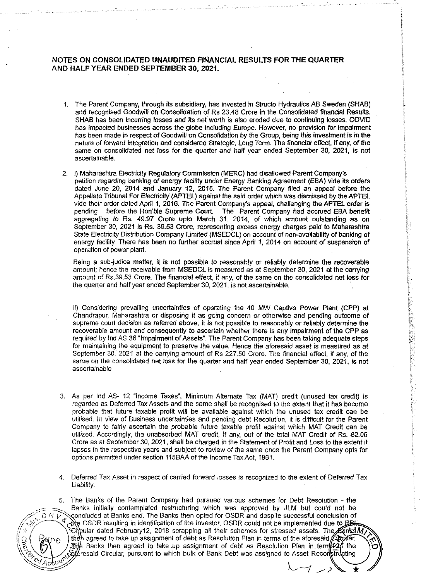## NOTES ON CONSOLIDATED UNAUDITED FINANCIAL RESULTS FOR THE QUARTER AND HALF YEAR ENDED SEPTEMBER 30, 2021.

- 1. The Parent Company, through its subsidiary, has invested in Structo Hydraulics AB Sweden (SHAB) and recognised Goodwill on Consolidation of Rs 23.48 Crore in the Consolidated financial Results. SHAB has been incurring losses and its net worth is also eroded due to continuing losses. COVID has impacted businesses across the globe including Europe. However, no provision for impairment has been made in respect of Goodwill on Consolidation by the Group, being this investment is in the nature of forward integration and considered Strategic, Long Term. The financial effect, if any, of the same on consolidated net loss for the quarter and half year ended September 30, 2021, is not ascertainable.
- 2. i) Maharashtra Electricity Regulatory Commission (MERC} had disallowed Parent Company's petition regarding banking of energy facility under Energy Banking Agreement (EBA) vide its orders dated June 20, 2014 and January 12, 2015. The Parent Company filed an appeal before the Appellate Tribunal For Electricity (APTEL) against the said order which was dismissed by the APTEL vide their order dated April 1, 2016. The Parent Company's appeal, challenging the APTEL order is pending before the Hon'ble Supreme Court. The Parent Company had accrued EBA benefit before the Hon'ble Supreme Court. The Parent Company had accrued EBA benefit aggregating to Rs. 49.97 Crore upto March 31, 2014, of which amount outstanding as on September 30, 2021 is Rs. 39.53 Crore, representing excess energy charges paid to Maharashtra State Electricity Distribution Company limited (MSEDCL) on account of non-availability of banking of energy facility. There has been no further accrual since April 1, 2014 on account of suspension of operation of power plant.

Being a sub-judice matter, it is not possible to reasonably or reliably determine the recoverable amount; hence the receivable from MSEDCL is measured as at September 30, 2021 at the carrying amount of Rs.39.53 Crore. The financial effect, if any, of the same on the consolidated net loss for the quarter and half year ended September 30, 2021, is not ascertainable.

ii) Considering prevailing uncertainties of operating the 40 MW Captive Power Plant (CPP} at Chandrapur, Maharashtra or disposing it as going concern or otherwise and pending outcome of supreme court decision as referred above, it is not possible to reasonably or reliably determine the recoverable amount and consequently to ascertain whether there is any impairment of the CPP as required by lnd AS 36 "Impairment of Assets". The Parent Company has been taking adequate steps for maintaining the equipment to preserve the value. Hence the aforesaid asset is measured as at September 30, 2021 at the carrying amount of Rs 227.50 Crore. The financial effect, if any, of the same on the consolidated net loss for the quarter and half year ended September 30, 2021, is not ascertainable

- 3. As per lnd AS- 12 "Income Taxes", Minimum Alternate Tax (MAT) credit (unused tax credit) is regarded as Deferred Tax Assets and the same shall be recognised to the extent that it has become probable that future taxable profit will be available against which the unused tax credit can be utilised. In view of Business uncertainties and pending debt Resolution, it is difficult for the Parent Company to fairly ascertain the probable future taxable profit against which MAT Credit can be utilized. Accordingly, the unabsorbed MAT credit, if any, out of the total MAT Credit of Rs. 82.05 Crore as at September 30, 2021, shall be charged in the Statement of Profit and Loss to the extent it lapses in the respective years and subject to review of the same once the Parent Company opts for options permitted under section 115BAA of the Income Tax Act, 1961.
- 4. Deferred Tax Asset in respect of carried forward losses is recognized to the extent of Deferred Tax Liability.

5. The Banks of the Parent Company had pursued various schemes for Debt Resolution - the Banks initially contemplated restructuring which was approved by JLM but could not be **DAVA** concluded at Banks end. The Banks then opted for OSDR and despite successful conclusion of  $\lambda$ le OSDR resulting in identification of the investor, OSDR could not be implemented due to BB The OSDR resulting in identification of the investor, OSDR could not be implemented due to the rest of the schemes for stressed assets. The rest of the schemes for stressed assets. The rest of  $M$ , then agreed to take up assignment of debt as Resolution Plan in terms of the aforesaid Licular. ηe 对他 Banks then agreed to take up assignment of debt as Resolution Plan in term Soof the of fresaid Circular, pursuant to which bulk of Bank Debt was assigned to Asset Reconstructing ed Actory

 $\boldsymbol{\mathcal{A}}$  .

 $\mathbb{Z}^5$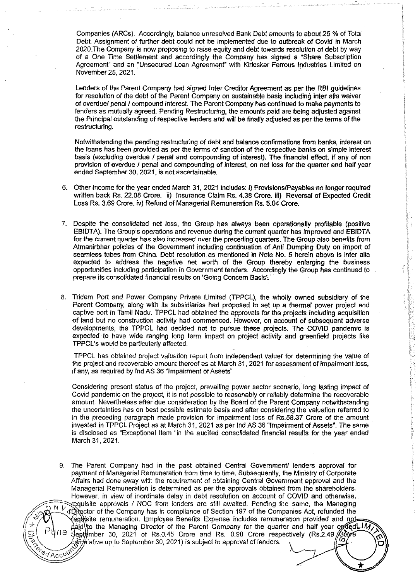Companies {ARCs). Accordingly, balance unresolved Bank Debt amounts to about 25% of Total Debt. Assignment of further debt could not be implemented due to outbreak of Covid in March 2020.The Company is now proposing to raise equity and debt towards resolution of debt by way of a One Time Settlement and accordingly the Company has signed a "Share Subscription Agreement" and an "Unsecured Loan Agreement" with Kirloskar Ferrous Industries Limited on November 25, 2021.

Lenders of the Parent Company had signed Inter Creditor Agreement as per the RBI guidelines for resolution of the debt of the Parent Company on sustainable basis including inter alia waiver of overdue/ penal/ compound interest. The Parent Company has continued to make payments to lenders as mutually agreed. Pending Restructuring, the amounts paid are being adjusted against the Principal outstanding of respective lenders and will be finally adjusted as per the terms of the restructuring.

Notwithstanding the pending restructuring of debt and balance confirmations from banks, interest on the loans has been provided as per the terms of sanction of the respective banks on simple interest basis {excluding overdue I penal and compounding of interest). The financial effect, if any of non provision of overdue I penal and compounding of interest, on net loss for the quarter and half year ended September 30, 2021, is not ascertainable.

- 6. Other Income for the year ended March 31, 2021 includes: i) Provisions/Payables no longer required written back Rs. 22.08 Crore. ii) Insurance Claim Rs. 4.38 Crore. iii) Reversal of Expected Credit Loss Rs. 3.69 Crore. iv) Refund of Managerial Remuneration Rs. 5.04 Crore.
- 7. Despite the consolidated net toss, the Group has always been operationally profitable {positive EBIDTA). The Group's operations and revenue during the current quarter has improved and EBIDTA for the current quarter has also increased over the preceding quarters. The Group also benefits from Atmanirbhar policies of the Government including continuation of Anti Dumping Duty on import of seamless tubes from China. Debt resolution as mentioned in Note No. 5 herein above is inter alia expected to address the negative net worth of the Group thereby enlarging the business opportunities including participation in Government tenders. Accordingly the Group has continued to prepare its consolidated financial results on 'Going Concern Basis',
- 8. Tridem Port and Power Company Private Limited {TPPCL), the wholly owned subsidiary of the Parent Company, along with its subsidiaries had proposed to set up a thermal power project and captive port in Tamil Nadu. TPPCL had obtained the approvals for the projects including acquisition of land but no construction activity had commenced. However, on account of subsequent adverse developments, the TPPCL had decided not to pursue these projects. The COVID pandemic is expected to have wide ranging long term impact on project activity and greenfield projects like TPPCL's would be particularly affected.

TPPCL has obtained project valuation report from independent valuer for determining the value of the project and recoverable amount thereof as at March 31, 2021 for assessment of impairment loss, if any, as required by lnd AS 36 "Impairment of Assets"

Considering present status of the project, prevailing power sector scenario, long lasting impact of Covid pandemic on the project, it is not possible to reasonably or reliably determine the recoverable amount. Nevertheless after due consideration by the Board of the Parent Company notwithstanding the uncertainties has on best possible estimate basis and after considering the valuation referred to in the preceding paragraph made provision for impairment loss of Rs.58.37 Crore of the amount invested in TPPCL Project as at March 31, 2021 as per lnd AS 36 "Impairment of Assets". The same is disclosed as "Exceptional Item "in the audited consolidated financial results for the year ended March 31, 2021.

9. The Parent Company had in the past obtained Central Government/ lenders approval for payment of Managerial Remuneration from time to time. Subsequently, the Ministry of Corporate Affairs had done away with the requirement of obtaining Central Government approval and the Managerial Remuneration is determined as per the approvals obtained from the shareholders. However, in view of inordinate delay in debt resolution on account of COVID and otherwise,  $\overline{N}$   $\overline{N}$  equisite approvals I NOC from lenders are still awaited. Pending the same, the Managing of Director of the Company has in compliance of Section 197 of the Companies Act, refunded the remuneration. Employee Benefits Expense includes remuneration provided and not paid) to the Managing Director of the Parent Company for the quarter and half year ended IM1<br>September 30, 2021 of Rs.0.45 Crore and Rs. 0.90 Crore respectively (Rs.2.49 Grore  $\mathbb{R}$  . Latitude up to September 30, 2021) is subject to approval of lenders.

 $^{6}$ <sup> $\sigma$ </sup>Acc<sup>o</sup>